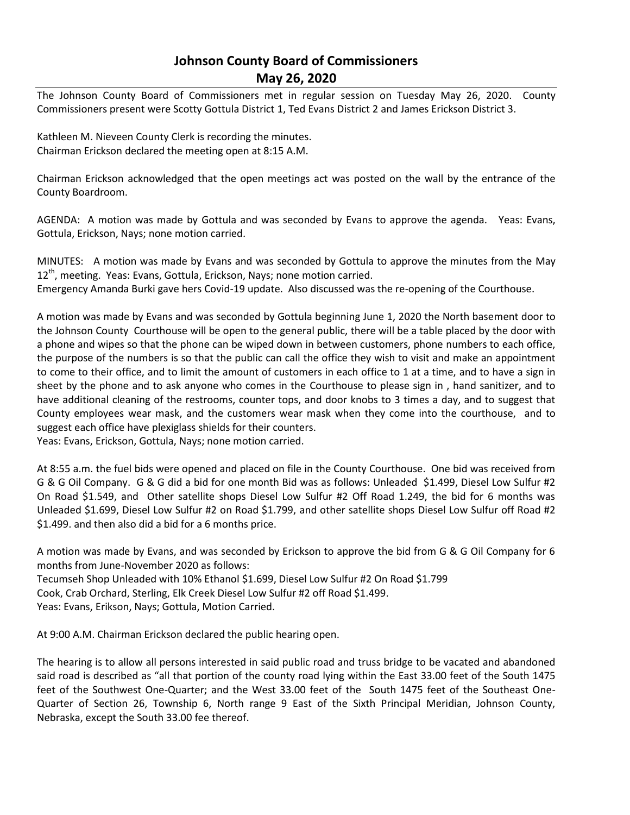# **Johnson County Board of Commissioners May 26, 2020**

The Johnson County Board of Commissioners met in regular session on Tuesday May 26, 2020. County Commissioners present were Scotty Gottula District 1, Ted Evans District 2 and James Erickson District 3.

Kathleen M. Nieveen County Clerk is recording the minutes. Chairman Erickson declared the meeting open at 8:15 A.M.

Chairman Erickson acknowledged that the open meetings act was posted on the wall by the entrance of the County Boardroom.

AGENDA: A motion was made by Gottula and was seconded by Evans to approve the agenda. Yeas: Evans, Gottula, Erickson, Nays; none motion carried.

MINUTES: A motion was made by Evans and was seconded by Gottula to approve the minutes from the May 12<sup>th</sup>, meeting. Yeas: Evans, Gottula, Erickson, Nays; none motion carried.

Emergency Amanda Burki gave hers Covid-19 update. Also discussed was the re-opening of the Courthouse.

A motion was made by Evans and was seconded by Gottula beginning June 1, 2020 the North basement door to the Johnson County Courthouse will be open to the general public, there will be a table placed by the door with a phone and wipes so that the phone can be wiped down in between customers, phone numbers to each office, the purpose of the numbers is so that the public can call the office they wish to visit and make an appointment to come to their office, and to limit the amount of customers in each office to 1 at a time, and to have a sign in sheet by the phone and to ask anyone who comes in the Courthouse to please sign in , hand sanitizer, and to have additional cleaning of the restrooms, counter tops, and door knobs to 3 times a day, and to suggest that County employees wear mask, and the customers wear mask when they come into the courthouse, and to suggest each office have plexiglass shields for their counters.

Yeas: Evans, Erickson, Gottula, Nays; none motion carried.

At 8:55 a.m. the fuel bids were opened and placed on file in the County Courthouse. One bid was received from G & G Oil Company. G & G did a bid for one month Bid was as follows: Unleaded \$1.499, Diesel Low Sulfur #2 On Road \$1.549, and Other satellite shops Diesel Low Sulfur #2 Off Road 1.249, the bid for 6 months was Unleaded \$1.699, Diesel Low Sulfur #2 on Road \$1.799, and other satellite shops Diesel Low Sulfur off Road #2 \$1.499. and then also did a bid for a 6 months price.

A motion was made by Evans, and was seconded by Erickson to approve the bid from G & G Oil Company for 6 months from June-November 2020 as follows: Tecumseh Shop Unleaded with 10% Ethanol \$1.699, Diesel Low Sulfur #2 On Road \$1.799 Cook, Crab Orchard, Sterling, Elk Creek Diesel Low Sulfur #2 off Road \$1.499.

Yeas: Evans, Erikson, Nays; Gottula, Motion Carried.

At 9:00 A.M. Chairman Erickson declared the public hearing open.

The hearing is to allow all persons interested in said public road and truss bridge to be vacated and abandoned said road is described as "all that portion of the county road lying within the East 33.00 feet of the South 1475 feet of the Southwest One-Quarter; and the West 33.00 feet of the South 1475 feet of the Southeast One-Quarter of Section 26, Township 6, North range 9 East of the Sixth Principal Meridian, Johnson County, Nebraska, except the South 33.00 fee thereof.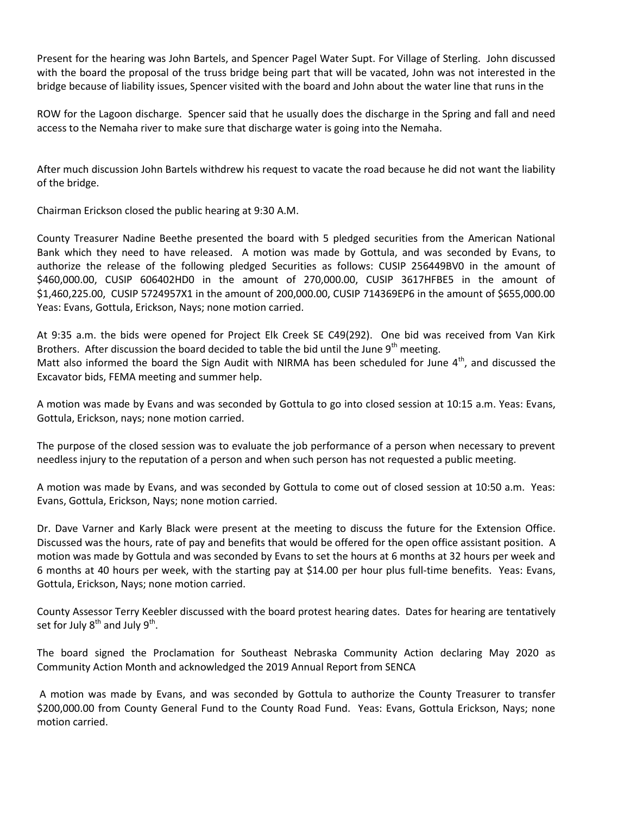Present for the hearing was John Bartels, and Spencer Pagel Water Supt. For Village of Sterling. John discussed with the board the proposal of the truss bridge being part that will be vacated, John was not interested in the bridge because of liability issues, Spencer visited with the board and John about the water line that runs in the

ROW for the Lagoon discharge. Spencer said that he usually does the discharge in the Spring and fall and need access to the Nemaha river to make sure that discharge water is going into the Nemaha.

After much discussion John Bartels withdrew his request to vacate the road because he did not want the liability of the bridge.

Chairman Erickson closed the public hearing at 9:30 A.M.

County Treasurer Nadine Beethe presented the board with 5 pledged securities from the American National Bank which they need to have released. A motion was made by Gottula, and was seconded by Evans, to authorize the release of the following pledged Securities as follows: CUSIP 256449BV0 in the amount of \$460,000.00, CUSIP 606402HD0 in the amount of 270,000.00, CUSIP 3617HFBE5 in the amount of \$1,460,225.00, CUSIP 5724957X1 in the amount of 200,000.00, CUSIP 714369EP6 in the amount of \$655,000.00 Yeas: Evans, Gottula, Erickson, Nays; none motion carried.

At 9:35 a.m. the bids were opened for Project Elk Creek SE C49(292). One bid was received from Van Kirk Brothers. After discussion the board decided to table the bid until the June 9<sup>th</sup> meeting. Matt also informed the board the Sign Audit with NIRMA has been scheduled for June  $4<sup>th</sup>$ , and discussed the Excavator bids, FEMA meeting and summer help.

A motion was made by Evans and was seconded by Gottula to go into closed session at 10:15 a.m. Yeas: Evans, Gottula, Erickson, nays; none motion carried.

The purpose of the closed session was to evaluate the job performance of a person when necessary to prevent needless injury to the reputation of a person and when such person has not requested a public meeting.

A motion was made by Evans, and was seconded by Gottula to come out of closed session at 10:50 a.m. Yeas: Evans, Gottula, Erickson, Nays; none motion carried.

Dr. Dave Varner and Karly Black were present at the meeting to discuss the future for the Extension Office. Discussed was the hours, rate of pay and benefits that would be offered for the open office assistant position. A motion was made by Gottula and was seconded by Evans to set the hours at 6 months at 32 hours per week and 6 months at 40 hours per week, with the starting pay at \$14.00 per hour plus full-time benefits. Yeas: Evans, Gottula, Erickson, Nays; none motion carried.

County Assessor Terry Keebler discussed with the board protest hearing dates. Dates for hearing are tentatively set for July  $8^{\text{th}}$  and July  $9^{\text{th}}$ .

The board signed the Proclamation for Southeast Nebraska Community Action declaring May 2020 as Community Action Month and acknowledged the 2019 Annual Report from SENCA

A motion was made by Evans, and was seconded by Gottula to authorize the County Treasurer to transfer \$200,000.00 from County General Fund to the County Road Fund. Yeas: Evans, Gottula Erickson, Nays; none motion carried.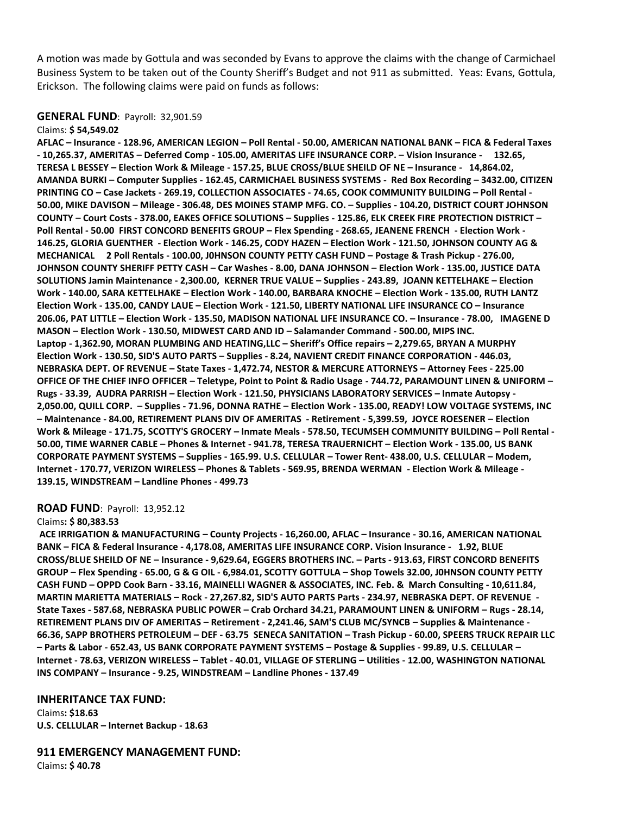A motion was made by Gottula and was seconded by Evans to approve the claims with the change of Carmichael Business System to be taken out of the County Sheriff's Budget and not 911 as submitted. Yeas: Evans, Gottula, Erickson. The following claims were paid on funds as follows:

# **GENERAL FUND**: Payroll: 32,901.59

#### Claims: **\$ 54,549.02**

**AFLAC – Insurance - 128.96, AMERICAN LEGION – Poll Rental - 50.00, AMERICAN NATIONAL BANK – FICA & Federal Taxes - 10,265.37, AMERITAS – Deferred Comp - 105.00, AMERITAS LIFE INSURANCE CORP. – Vision Insurance - 132.65, TERESA L BESSEY – Election Work & Mileage - 157.25, BLUE CROSS/BLUE SHEILD OF NE – Insurance - 14,864.02, AMANDA BURKI – Computer Supplies - 162.45, CARMICHAEL BUSINESS SYSTEMS - Red Box Recording – 3432.00, CITIZEN PRINTING CO – Case Jackets - 269.19, COLLECTION ASSOCIATES - 74.65, COOK COMMUNITY BUILDING – Poll Rental - 50.00, MIKE DAVISON – Mileage - 306.48, DES MOINES STAMP MFG. CO. – Supplies - 104.20, DISTRICT COURT JOHNSON COUNTY – Court Costs - 378.00, EAKES OFFICE SOLUTIONS – Supplies - 125.86, ELK CREEK FIRE PROTECTION DISTRICT – Poll Rental - 50.00 FIRST CONCORD BENEFITS GROUP – Flex Spending - 268.65, JEANENE FRENCH - Election Work - 146.25, GLORIA GUENTHER - Election Work - 146.25, CODY HAZEN – Election Work - 121.50, JOHNSON COUNTY AG & MECHANICAL 2 Poll Rentals - 100.00, J0HNSON COUNTY PETTY CASH FUND – Postage & Trash Pickup - 276.00, JOHNSON COUNTY SHERIFF PETTY CASH – Car Washes - 8.00, DANA JOHNSON – Election Work - 135.00, JUSTICE DATA SOLUTIONS Jamin Maintenance - 2,300.00, KERNER TRUE VALUE – Supplies - 243.89, JOANN KETTELHAKE – Election Work - 140.00, SARA KETTELHAKE – Election Work - 140.00, BARBARA KNOCHE – Election Work - 135.00, RUTH LANTZ Election Work - 135.00, CANDY LAUE – Election Work - 121.50, LIBERTY NATIONAL LIFE INSURANCE CO – Insurance 206.06, PAT LITTLE – Election Work - 135.50, MADISON NATIONAL LIFE INSURANCE CO. – Insurance - 78.00, IMAGENE D MASON – Election Work - 130.50, MIDWEST CARD AND ID – Salamander Command - 500.00, MIPS INC. Laptop - 1,362.90, MORAN PLUMBING AND HEATING,LLC – Sheriff's Office repairs – 2,279.65, BRYAN A MURPHY Election Work - 130.50, SID'S AUTO PARTS – Supplies - 8.24, NAVIENT CREDIT FINANCE CORPORATION - 446.03, NEBRASKA DEPT. OF REVENUE – State Taxes - 1,472.74, NESTOR & MERCURE ATTORNEYS – Attorney Fees - 225.00 OFFICE OF THE CHIEF INFO OFFICER – Teletype, Point to Point & Radio Usage - 744.72, PARAMOUNT LINEN & UNIFORM – Rugs - 33.39, AUDRA PARRISH – Election Work - 121.50, PHYSICIANS LABORATORY SERVICES – Inmate Autopsy - 2,050.00, QUILL CORP. – Supplies - 71.96, DONNA RATHE – Election Work - 135.00, READY! LOW VOLTAGE SYSTEMS, INC – Maintenance - 84.00, RETIREMENT PLANS DIV OF AMERITAS - Retirement - 5,399.59, JOYCE ROESENER – Election Work & Mileage - 171.75, SCOTTY'S GROCERY – Inmate Meals - 578.50, TECUMSEH COMMUNITY BUILDING – Poll Rental - 50.00, TIME WARNER CABLE – Phones & Internet - 941.78, TERESA TRAUERNICHT – Election Work - 135.00, US BANK CORPORATE PAYMENT SYSTEMS – Supplies - 165.99. U.S. CELLULAR – Tower Rent- 438.00, U.S. CELLULAR – Modem, Internet - 170.77, VERIZON WIRELESS – Phones & Tablets - 569.95, BRENDA WERMAN - Election Work & Mileage - 139.15, WINDSTREAM – Landline Phones - 499.73** 

## **ROAD FUND**: Payroll: 13,952.12

### Claims**: \$ 80,383.53**

**ACE IRRIGATION & MANUFACTURING – County Projects - 16,260.00, AFLAC – Insurance - 30.16, AMERICAN NATIONAL BANK – FICA & Federal Insurance - 4,178.08, AMERITAS LIFE INSURANCE CORP. Vision Insurance - 1.92, BLUE CROSS/BLUE SHEILD OF NE – Insurance - 9,629.64, EGGERS BROTHERS INC. – Parts - 913.63, FIRST CONCORD BENEFITS GROUP – Flex Spending - 65.00, G & G OIL - 6,984.01, SCOTTY GOTTULA – Shop Towels 32.00, J0HNSON COUNTY PETTY CASH FUND – OPPD Cook Barn - 33.16, MAINELLI WAGNER & ASSOCIATES, INC. Feb. & March Consulting - 10,611.84, MARTIN MARIETTA MATERIALS – Rock - 27,267.82, SID'S AUTO PARTS Parts - 234.97, NEBRASKA DEPT. OF REVENUE - State Taxes - 587.68, NEBRASKA PUBLIC POWER – Crab Orchard 34.21, PARAMOUNT LINEN & UNIFORM – Rugs - 28.14, RETIREMENT PLANS DIV OF AMERITAS – Retirement - 2,241.46, SAM'S CLUB MC/SYNCB – Supplies & Maintenance - 66.36, SAPP BROTHERS PETROLEUM – DEF - 63.75 SENECA SANITATION – Trash Pickup - 60.00, SPEERS TRUCK REPAIR LLC – Parts & Labor - 652.43, US BANK CORPORATE PAYMENT SYSTEMS – Postage & Supplies - 99.89, U.S. CELLULAR – Internet - 78.63, VERIZON WIRELESS – Tablet - 40.01, VILLAGE OF STERLING – Utilities - 12.00, WASHINGTON NATIONAL INS COMPANY – Insurance - 9.25, WINDSTREAM – Landline Phones - 137.49** 

### **INHERITANCE TAX FUND:**

Claims**: \$18.63 U.S. CELLULAR – Internet Backup - 18.63** 

**911 EMERGENCY MANAGEMENT FUND:**

Claims**: \$ 40.78**